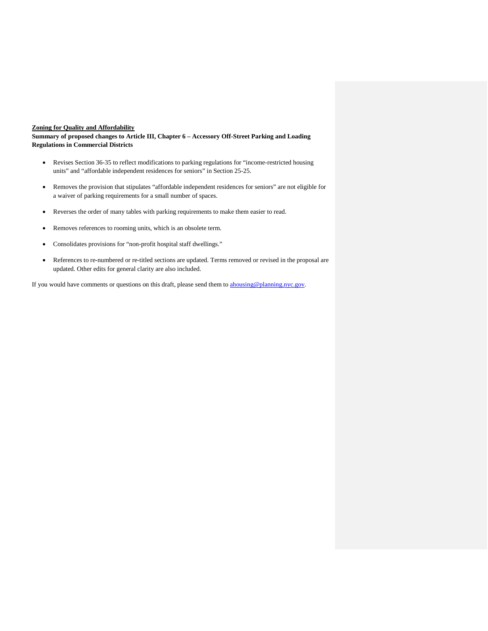## **Zoning for Quality and Affordability**

**Summary of proposed changes to Article III, Chapter 6 – Accessory Off-Street Parking and Loading Regulations in Commercial Districts**

- Revises Section 36-35 to reflect modifications to parking regulations for "income-restricted housing units" and "affordable independent residences for seniors" in Section 25-25.
- Removes the provision that stipulates "affordable independent residences for seniors" are not eligible for a waiver of parking requirements for a small number of spaces.
- Reverses the order of many tables with parking requirements to make them easier to read.
- Removes references to rooming units, which is an obsolete term.
- Consolidates provisions for "non-profit hospital staff dwellings."
- References to re-numbered or re-titled sections are updated. Terms removed or revised in the proposal are updated. Other edits for general clarity are also included.

If you would have comments or questions on this draft, please send them to **ahousing@planning.nyc.gov**.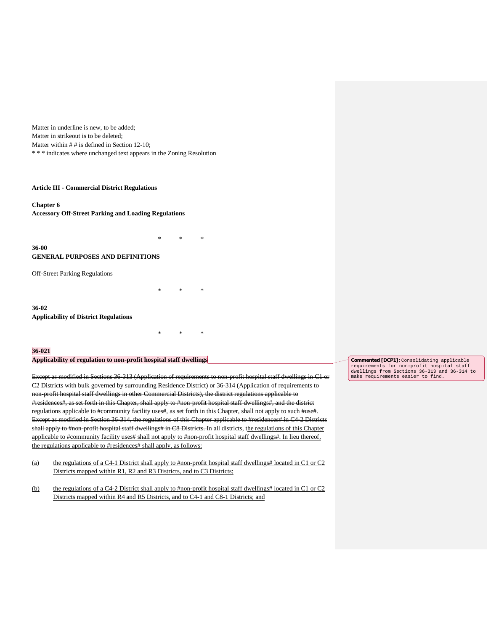Matter in underline is new, to be added; Matter in strikeout is to be deleted; Matter within  $#$  # is defined in Section 12-10; \* \* \* indicates where unchanged text appears in the Zoning Resolution

#### **Article III - Commercial District Regulations**

**Chapter 6 Accessory Off-Street Parking and Loading Regulations**

\* \* \* **36-00 GENERAL PURPOSES AND DEFINITIONS**

Off-Street Parking Regulations

**36-02 Applicability of District Regulations**

#### **36-021**

**Applicability of regulation to non-profit hospital staff dwellings**

Except as modified in Sections 36-313 (Application of requirements to non-profit hospital staff dwellings in C1 or C2 Districts with bulk governed by surrounding Residence District) or 36-314 (Application of requirements to non-profit hospital staff dwellings in other Commercial Districts), the district regulations applicable to #residences#, as set forth in this Chapter, shall apply to #non-profit hospital staff dwellings#, and the district regulations applicable to #community facility uses#, as set forth in this Chapter, shall not apply to such #use#. Except as modified in Section 36-314, the regulations of this Chapter applicable to #residences# in C4-2 Districts shall apply to #non-profit hospital staff dwellings# in C8 Districts. In all districts, the regulations of this Chapter applicable to #community facility uses# shall not apply to #non-profit hospital staff dwellings#. In lieu thereof, the regulations applicable to #residences# shall apply, as follows:

\* \* \*

\* \* \*

- (a) the regulations of a C4-1 District shall apply to #non-profit hospital staff dwellings# located in C1 or C2 Districts mapped within R1, R2 and R3 Districts, and to C3 Districts;
- (b) the regulations of a C4-2 District shall apply to #non-profit hospital staff dwellings# located in C1 or C2 Districts mapped within R4 and R5 Districts, and to C4-1 and C8-1 Districts; and

**Commented [DCP1]:** Consolidating applicable requirements for non-profit hospital staff dwellings from Sections 36-313 and 36-314 to make requirements easier to find.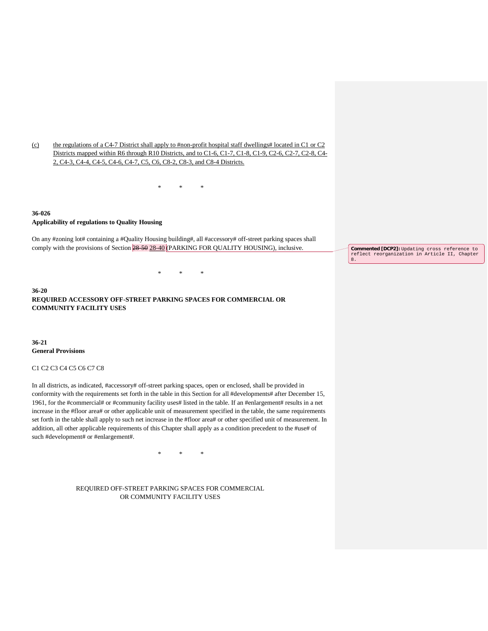(c) the regulations of a C4-7 District shall apply to #non-profit hospital staff dwellings# located in C1 or C2 Districts mapped within R6 through R10 Districts, and to C1-6, C1-7, C1-8, C1-9, C2-6, C2-7, C2-8, C4- 2, C4-3, C4-4, C4-5, C4-6, C4-7, C5, C6, C8-2, C8-3, and C8-4 Districts.

\* \* \*

## **36-026 Applicability of regulations to Quality Housing**

On any #zoning lot# containing a #Quality Housing building#, all #accessory# off-street parking spaces shall comply with the provisions of Section  $\frac{28-50}{28-40}$  (PARKING FOR QUALITY HOUSING), inclusive.

\* \* \*

**36-20 REQUIRED ACCESSORY OFF-STREET PARKING SPACES FOR COMMERCIAL OR COMMUNITY FACILITY USES**

**36-21 General Provisions**

## C1 C2 C3 C4 C5 C6 C7 C8

In all districts, as indicated, #accessory# off-street parking spaces, open or enclosed, shall be provided in conformity with the requirements set forth in the table in this Section for all #developments# after December 15, 1961, for the #commercial# or #community facility uses# listed in the table. If an #enlargement# results in a net increase in the #floor area# or other applicable unit of measurement specified in the table, the same requirements set forth in the table shall apply to such net increase in the #floor area# or other specified unit of measurement. In addition, all other applicable requirements of this Chapter shall apply as a condition precedent to the #use# of such #development# or #enlargement#.

\* \* \*

REQUIRED OFF-STREET PARKING SPACES FOR COMMERCIAL OR COMMUNITY FACILITY USES

**Commented [DCP2]:** Updating cross reference to reflect reorganization in Article II, Chapter 8.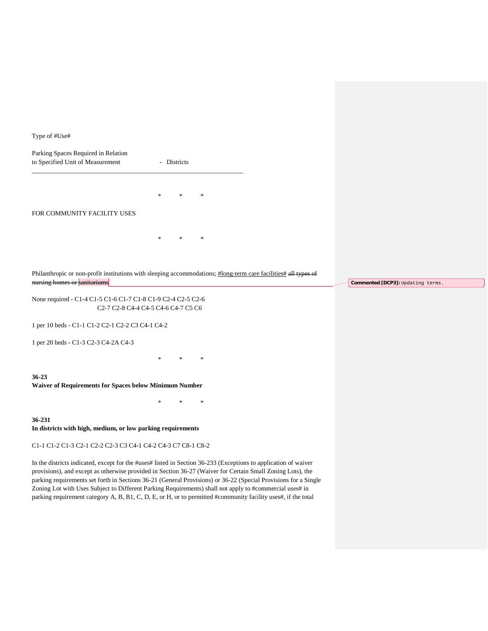Type of #Use#

Parking Spaces Required in Relation to Specified Unit of Measurement - Districts \_\_\_\_\_\_\_\_\_\_\_\_\_\_\_\_\_\_\_\_\_\_\_\_\_\_\_\_\_\_\_\_\_\_\_\_\_\_\_\_\_\_\_\_\_\_\_\_\_\_\_\_\_\_\_\_\_\_\_\_\_\_\_\_\_ \* \* \*

## FOR COMMUNITY FACILITY USES

\* \* \*

Philanthropic or non-profit institutions with sleeping accommodations; #long-term care facilities# all types of nursing homes or sanitariums

None required - C1-4 C1-5 C1-6 C1-7 C1-8 C1-9 C2-4 C2-5 C2-6 C2-7 C2-8 C4-4 C4-5 C4-6 C4-7 C5 C6

1 per 10 beds - C1-1 C1-2 C2-1 C2-2 C3 C4-1 C4-2

1 per 20 beds - C1-3 C2-3 C4-2A C4-3

**36-23**

**Waiver of Requirements for Spaces below Minimum Number**

\* \* \*

\* \* \*

**36-231 In districts with high, medium, or low parking requirements**

C1-1 C1-2 C1-3 C2-1 C2-2 C2-3 C3 C4-1 C4-2 C4-3 C7 C8-1 C8-2

In the districts indicated, except for the #uses# listed in Section 36-233 (Exceptions to application of waiver provisions), and except as otherwise provided in Section 36-27 (Waiver for Certain Small Zoning Lots), the parking requirements set forth in Sections 36-21 (General Provisions) or 36-22 (Special Provisions for a Single Zoning Lot with Uses Subject to Different Parking Requirements) shall not apply to #commercial uses# in parking requirement category A, B, B1, C, D, E, or H, or to permitted #community facility uses#, if the total

**Commented [DCP3]:** Updating terms.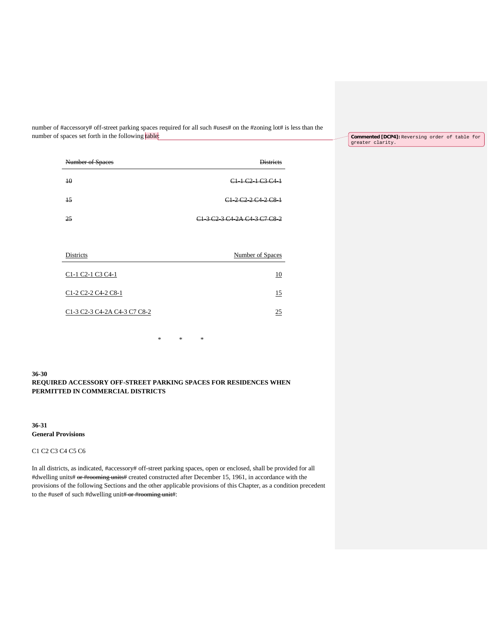number of #accessory# off-street parking spaces required for all such #uses# on the #zoning lot# is less than the number of spaces set forth in the following table:

**Commented [DCP4]:** Reversing order of table for greater clarity.

| Number of Spaces             | Districts                                                                                            |
|------------------------------|------------------------------------------------------------------------------------------------------|
| 40                           | C <sub>1</sub> + C <sub>2</sub> + C <sub>3</sub> C <sub>4</sub> +                                    |
| 15                           | C <sub>1</sub> 2 C <sub>2</sub> 2 C <sub>4</sub> 2 C <sub>8</sub> 1                                  |
| 25                           | C <sub>1</sub> 3 C <sub>2</sub> 3 C <sub>4</sub> 2A C <sub>4</sub> 3 C <sub>7</sub> C <sub>8</sub> 2 |
|                              |                                                                                                      |
| Districts                    | Number of Spaces                                                                                     |
| C1-1 C2-1 C3 C4-1            | 10                                                                                                   |
| C1-2 C2-2 C4-2 C8-1          | 15                                                                                                   |
| C1-3 C2-3 C4-2A C4-3 C7 C8-2 | 25                                                                                                   |

\* \* \*

**36-30 REQUIRED ACCESSORY OFF-STREET PARKING SPACES FOR RESIDENCES WHEN PERMITTED IN COMMERCIAL DISTRICTS**

**36-31 General Provisions**

C1 C2 C3 C4 C5 C6

In all districts, as indicated, #accessory# off-street parking spaces, open or enclosed, shall be provided for all #dwelling units# or #rooming units# created constructed after December 15, 1961, in accordance with the provisions of the following Sections and the other applicable provisions of this Chapter, as a condition precedent to the #use# of such #dwelling unit# or #rooming unit#: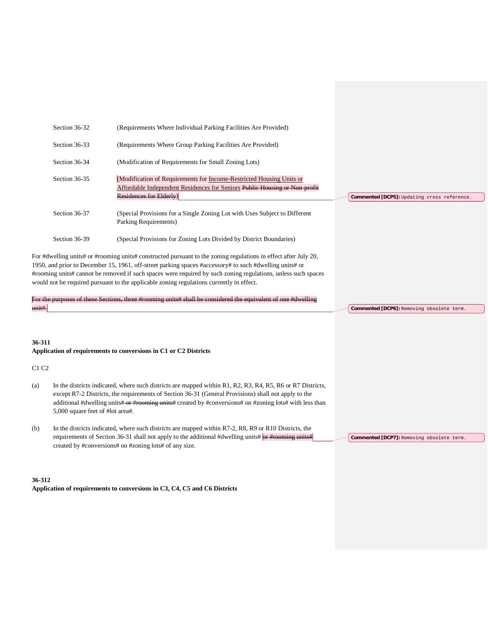| Section 36-32 | (Requirements Where Individual Parking Facilities Are Provided)                                                                                                               |                                             |
|---------------|-------------------------------------------------------------------------------------------------------------------------------------------------------------------------------|---------------------------------------------|
| Section 36-33 | (Requirements Where Group Parking Facilities Are Provided)                                                                                                                    |                                             |
| Section 36-34 | (Modification of Requirements for Small Zoning Lots)                                                                                                                          |                                             |
| Section 36-35 | (Modification of Requirements for Income-Restricted Housing Units or<br>Affordable Independent Residences for Seniors Public Housing or Non-profit<br>Residences for Elderly) | Commented [DCP5]: Updating cross reference. |
| Section 36-37 | (Special Provisions for a Single Zoning Lot with Uses Subject to Different<br>Parking Requirements)                                                                           |                                             |
| Section 36-39 | (Special Provisions for Zoning Lots Divided by District Boundaries)                                                                                                           |                                             |
|               | dwelling units# or #rooming units# constructed pursuant to the zoning regulations in effect after July 20                                                                     |                                             |

For #dwelling units# or #rooming units# constructed pursuant to the zoning regulations in effect after July 20, 1950, and prior to December 15, 1961, off-street parking spaces #accessory# to such #dwelling units# or #rooming units# cannot be removed if such spaces were required by such zoning regulations, unless such spaces would not be required pursuant to the applicable zoning regulations currently in effect.

For the purposes of these Sections, three #rooming units# shall be considered the equivalent of one #dwelling unit#.

#### **36-311 Application of requirements to conversions in C1 or C2 Districts**

### C1 C2

- (a) In the districts indicated, where such districts are mapped within R1, R2, R3, R4, R5, R6 or R7 Districts, except R7-2 Districts, the requirements of Section 36-31 (General Provisions) shall not apply to the additional #dwelling units# or #rooming units# created by #conversions# on #zoning lots# with less than 5,000 square feet of #lot area#.
- (b) In the districts indicated, where such districts are mapped within R7-2, R8, R9 or R10 Districts, the requirements of Section 36-31 shall not apply to the additional #dwelling units# or #rooming units# created by #conversions# on #zoning lots# of any size.

### **Commented [DCP7]:** Removing obsolete term.

**Commented [DCP6]:** Removing obsolete term.

# **36-312 Application of requirements to conversions in C3, C4, C5 and C6 Districts**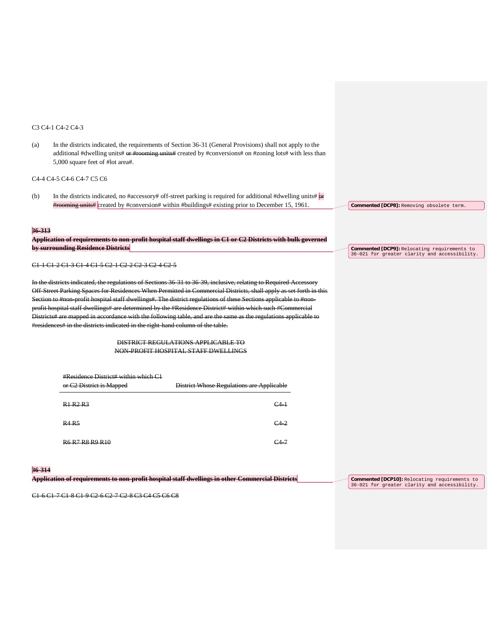#### C3 C4-1 C4-2 C4-3

(a) In the districts indicated, the requirements of Section 36-31 (General Provisions) shall not apply to the additional #dwelling units# or #rooming units# created by #conversions# on #zoning lots# with less than 5,000 square feet of #lot area#.

#### C4-4 C4-5 C4-6 C4-7 C5 C6

(b) In the districts indicated, no #accessory# off-street parking is required for additional #dwelling units# $\frac{1}{e^x}$ #rooming units# created by #conversion# within #buildings# existing prior to December 15, 1961

#### **36-313**

|                                                                          | Application of requirements to non-profit hospital staff dwellings in C1 or C2 Districts with bull governed<br>лгррисанон от гедин сиклиз го нон-ргонг позраагзаан аменицз нг Ст от Ст Districts мин винг сотенен |
|--------------------------------------------------------------------------|-------------------------------------------------------------------------------------------------------------------------------------------------------------------------------------------------------------------|
| hy currounding Docidance Dictricte<br>by surrounding residence Districts |                                                                                                                                                                                                                   |

C1-1 C1-2 C1-3 C1-4 C1-5 C2-1 C2-2 C2-3 C2-4 C2-5

In the districts indicated, the regulations of Sections 36-31 to 36-39, inclusive, relating to Required Accessory Off-Street Parking Spaces for Residences When Permitted in Commercial Districts, shall apply as set forth in this Section to #non-profit hospital staff dwellings#. The district regulations of these Sections applicable to #nonprofit hospital staff dwellings# are determined by the #Residence District# within which such #Commercial Districts# are mapped in accordance with the following table, and are the same as the regulations applicable to dences# in the districts indicated in the right-hand column of the table.

> DISTRICT REGULATIONS APPLICABLE TO NON-PROFIT HOSPITAL STAFF DWELLINGS

| or C <sub>2</sub> District is Mapped                                     | District Whose Regulations are Applicable |
|--------------------------------------------------------------------------|-------------------------------------------|
| R1 R2 R3                                                                 | C4 1                                      |
| <b>R4 R5</b>                                                             | $C4-2$                                    |
| $D$ $6$ $D$ $7$ $D$ $Q$ $D$ $Q$ $D$ $1$ $0$<br><del>ro r/ ro ry ru</del> |                                           |

## **36-314**

**Application of requirements to non-profit hospital staff dwellings in other Commercial Districts**

**Commented [DCP10]:** Relocating requirements to 36-021 for greater clarity and accessibility.

**Commented [DCP8]:** Removing obsolete term.

**Commented [DCP9]:** Relocating requirements to 36-021 for greater clarity and accessibility.

C1-6 C1-7 C1-8 C1-9 C2-6 C2-7 C2-8 C3 C4 C5 C6 C8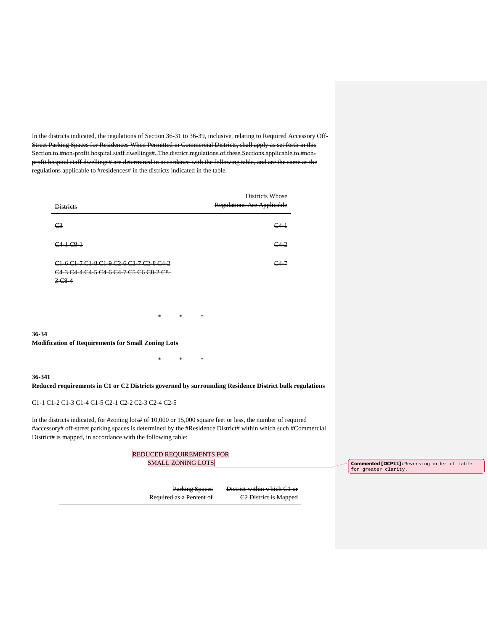In the districts indicated, the regulations of Section 36-31 to 36-39, inclusive, relating to Required Accessory Off-Street Parking Spaces for Residences When Permitted in Commercial Districts, shall apply as set forth in this Section to #non-profit hospital staff dwellings#. The district regulations of these Sections applicable to #nonprofit hospital staff dwellings# are determined in accordance with the following table, and are the same as the regulations applicable to #residences# in the districts indicated in the table.

| <b>Districts</b>                                                                                                                                                                                                                                                                                              | Districts Whose<br><b>Regulations Are Applicable</b> |
|---------------------------------------------------------------------------------------------------------------------------------------------------------------------------------------------------------------------------------------------------------------------------------------------------------------|------------------------------------------------------|
| C <sub>3</sub>                                                                                                                                                                                                                                                                                                | C <sub>4</sub>                                       |
| $C4 + C8 +$                                                                                                                                                                                                                                                                                                   | $C_{42}$                                             |
| C <sub>1</sub> -6 C <sub>1</sub> -7 C <sub>1</sub> -8 C <sub>1</sub> -9 C <sub>2</sub> -6 C <sub>2</sub> -7 C <sub>2</sub> -8 C <sub>4</sub> -2<br>C <sub>4</sub> 3 C <sub>4</sub> 4 C <sub>4</sub> 5 C <sub>4</sub> 6 C <sub>4</sub> 7 C <sub>5</sub> C <sub>6</sub> C <sub>8</sub> 2 C <sub>8</sub><br>3C84 | $C4-7$                                               |

**36-34 Modification of Requirements for Small Zoning Lots**

## **36-341**

**Reduced requirements in C1 or C2 Districts governed by surrounding Residence District bulk regulations**

\* \* \*

\* \* \*

## C1-1 C1-2 C1-3 C1-4 C1-5 C2-1 C2-2 C2-3 C2-4 C2-5

In the districts indicated, for #zoning lots# of 10,000 or 15,000 square feet or less, the number of required #accessory# off-street parking spaces is determined by the #Residence District# within which such #Commercial District# is mapped, in accordance with the following table:

| REDUCED REQUIREMENTS FOR |                                   |                                                                            |
|--------------------------|-----------------------------------|----------------------------------------------------------------------------|
| <b>SMALL ZONING LOTS</b> |                                   | <b>Commented [DCP11]:</b> Reversing order of table<br>for greater clarity. |
|                          |                                   |                                                                            |
| <b>Parking Spaces</b>    | District within which C1 or       |                                                                            |
| Required as a Percent of | C <sub>2</sub> District is Mapped |                                                                            |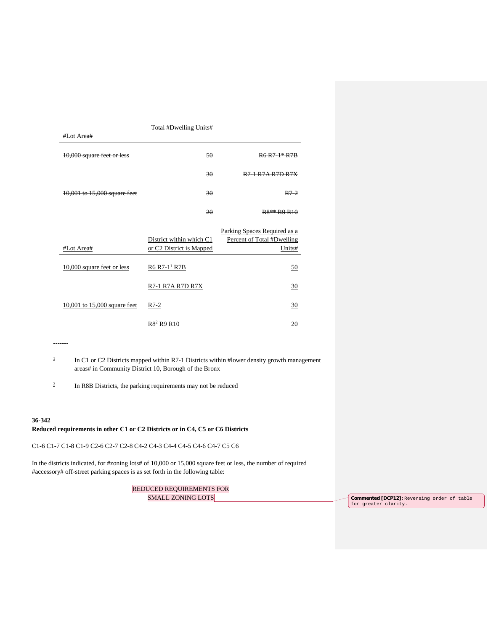|                              | <b>Total #Dwelling Units#</b> |                                                 |
|------------------------------|-------------------------------|-------------------------------------------------|
| #Lot Area#                   |                               |                                                 |
| 10,000 square feet or less   | 50                            | $R6 R71* R7R$                                   |
|                              | 30                            | <b>R7-1 R7A R7D R7X</b>                         |
| 10,001 to 15,000 square feet | 30                            | $R7-2$                                          |
|                              | 20                            | R <sub>8**</sub> R <sub>9</sub> R <sub>10</sub> |
|                              |                               |                                                 |
|                              |                               |                                                 |
|                              | District within which C1      | Parking Spaces Required as a                    |
| #Lot Area#                   | or C2 District is Mapped      | Percent of Total #Dwelling<br>Units#            |
| $10,000$ square feet or less | R6 R7-1 <sup>1</sup> R7B      | 50                                              |
|                              | R7-1 R7A R7D R7X              | 30                                              |
| 10,001 to 15,000 square feet | $R7-2$                        | 30                                              |

-------

- <sup>1</sup> In C1 or C2 Districts mapped within R7-1 Districts within #lower density growth management areas# in Community District 10, Borough of the Bronx
- <sup>2</sup> In R8B Districts, the parking requirements may not be reduced

#### **36-342**

## **Reduced requirements in other C1 or C2 Districts or in C4, C5 or C6 Districts**

C1-6 C1-7 C1-8 C1-9 C2-6 C2-7 C2-8 C4-2 C4-3 C4-4 C4-5 C4-6 C4-7 C5 C6

In the districts indicated, for #zoning lots# of 10,000 or 15,000 square feet or less, the number of required #accessory# off-street parking spaces is as set forth in the following table:

REDUCED REQUIREMENTS FOR SMALL ZONING LOTS

SMALL ZONING LOTS **Commented [DCP12]:** Reversing order of table for greater clarity.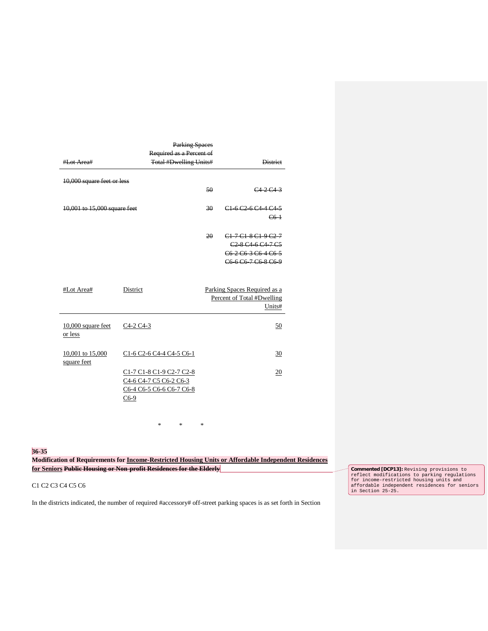|                                 | <b>Parking Spaces</b>                                                                    |    |                                                                                                                                                                                                                                                                                        |  |
|---------------------------------|------------------------------------------------------------------------------------------|----|----------------------------------------------------------------------------------------------------------------------------------------------------------------------------------------------------------------------------------------------------------------------------------------|--|
|                                 | Required as a Percent of                                                                 |    |                                                                                                                                                                                                                                                                                        |  |
| #Lot Area#                      | <b>Total #Dwelling Units#</b>                                                            |    | <b>District</b>                                                                                                                                                                                                                                                                        |  |
| 10,000 square feet or less      |                                                                                          | 50 | C42C43                                                                                                                                                                                                                                                                                 |  |
| 10,001 to 15,000 square feet    |                                                                                          | 30 | C16C26C44C45<br>$C6-1$                                                                                                                                                                                                                                                                 |  |
|                                 |                                                                                          | 20 | C <sub>1</sub> 7 C <sub>1</sub> 8 C <sub>1</sub> 9 C <sub>2</sub> 7<br>C <sub>2</sub> 8 C <sub>4</sub> 6 C <sub>4</sub> 7 C <sub>5</sub><br>C <sub>6</sub> 2 C <sub>6</sub> 3 C <sub>6</sub> 4 C <sub>6</sub> 5<br>C <sub>6</sub> 6 C <sub>6</sub> 7 C <sub>6</sub> 8 C <sub>6</sub> 9 |  |
| #Lot Area#                      | District                                                                                 |    | Parking Spaces Required as a<br>Percent of Total #Dwelling<br>Units#                                                                                                                                                                                                                   |  |
| 10,000 square feet<br>or less   | C <sub>4</sub> -2 C <sub>4</sub> -3                                                      |    | 50                                                                                                                                                                                                                                                                                     |  |
| 10,001 to 15,000<br>square feet | C1-6 C2-6 C4-4 C4-5 C6-1                                                                 |    | 30                                                                                                                                                                                                                                                                                     |  |
|                                 | C1-7 C1-8 C1-9 C2-7 C2-8<br>C4-6 C4-7 C5 C6-2 C6-3<br>C6-4 C6-5 C6-6 C6-7 C6-8<br>$C6-9$ |    | 20                                                                                                                                                                                                                                                                                     |  |

**36-35**

**Modification of Requirements for Income-Restricted Housing Units or Affordable Independent Residences for Seniors Public Housing or Non-profit Residences for the Elderly**

\* \* \*

#### C1 C2 C3 C4 C5 C6

In the districts indicated, the number of required #accessory# off-street parking spaces is as set forth in Section

**Commented [DCP13]:** Revising provisions to reflect modifications to parking regulations for income-restricted housing units and affordable independent residences for seniors in Section 25-25.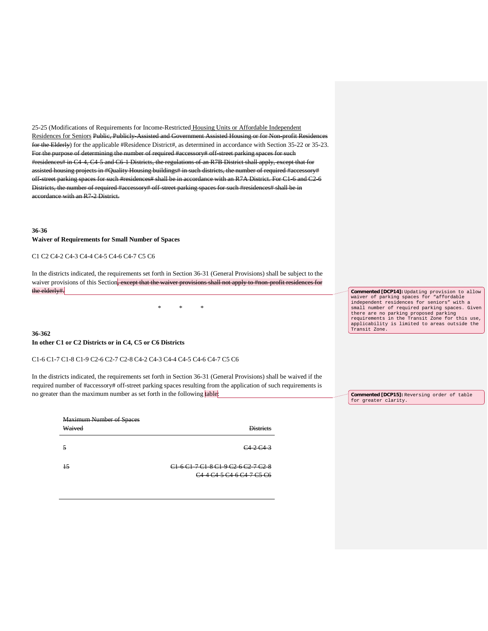25-25 (Modifications of Requirements for Income-Restricted Housing Units or Affordable Independent Residences for Seniors Public, Publicly-Assisted and Government Assisted Housing or for Non-profit Residences for the Elderly) for the applicable #Residence District#, as determined in accordance with Section 35-22 or 35-23. For the purpose of determining the number of required #accessory# off-street parking spaces for such #residences# in C4-4, C4-5 and C6-1 Districts, the regulations of an R7B District shall apply, except that for assisted housing projects in #Quality Housing buildings# in such districts, the number of required #accessory# off-street parking spaces for such #residences# shall be in accordance with an R7A District. For C1-6 and C2-6 Districts, the number of required #accessory# off-street parking spaces for such #residences# shall be in accordance with an R7-2 District.

## **36-36 Waiver of Requirements for Small Number of Spaces**

#### C1 C2 C4-2 C4-3 C4-4 C4-5 C4-6 C4-7 C5 C6

In the districts indicated, the requirements set forth in Section 36-31 (General Provisions) shall be subject to the waiver provisions of this Section, except that the waiver provisions shall not apply to #non-profit residences for the elderly#.

\* \* \*

# **36-362 In other C1 or C2 Districts or in C4, C5 or C6 Districts**

#### C1-6 C1-7 C1-8 C1-9 C2-6 C2-7 C2-8 C4-2 C4-3 C4-4 C4-5 C4-6 C4-7 C5 C6

In the districts indicated, the requirements set forth in Section 36-31 (General Provisions) shall be waived if the required number of #accessory# off-street parking spaces resulting from the application of such requirements is no greater than the maximum number as set forth in the following table:

| <b>Maximum Number of Spaces</b><br>Waived | Distriate                                                                                                                                          |
|-------------------------------------------|----------------------------------------------------------------------------------------------------------------------------------------------------|
|                                           | $C_{42}C_{43}$                                                                                                                                     |
| 15                                        | <del>C1-6 C1-7 C1-8 C1-9 C2-6 C2-7 C2-8</del><br>C <sub>4</sub> 4 C <sub>4</sub> 5 C <sub>4</sub> 6 C <sub>4</sub> 7 C <sub>5</sub> C <sub>6</sub> |

**Commented [DCP14]:** Updating provision to allow waiver of parking spaces for "affordable independent residences for seniors" with a small number of required parking spaces. Given there are no parking proposed parking requirements in the Transit Zone for this use, applicability is limited to areas outside the Transit Zone.

**Commented [DCP15]:** Reversing order of table for greater clarity.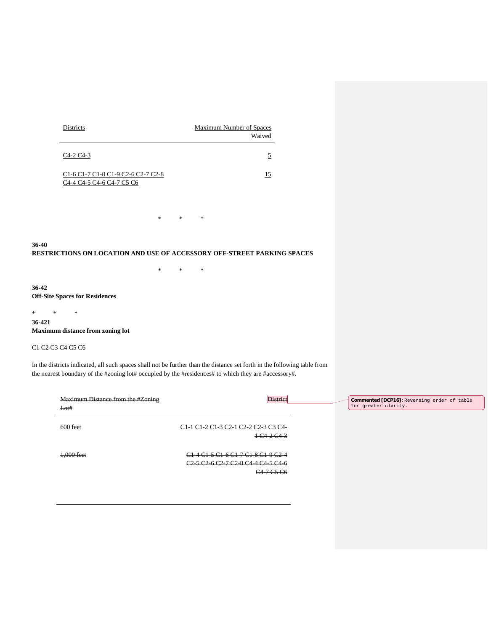| <b>Districts</b>                                                                                                                                           | Maximum Number of Spaces |
|------------------------------------------------------------------------------------------------------------------------------------------------------------|--------------------------|
|                                                                                                                                                            | Waived                   |
| $C4-2 C4-3$                                                                                                                                                |                          |
| C <sub>1</sub> -6 C <sub>1</sub> -7 C <sub>1</sub> -8 C <sub>1</sub> -9 C <sub>2</sub> -6 C <sub>2</sub> -7 C <sub>2</sub> -8<br>C4-4 C4-5 C4-6 C4-7 C5 C6 | 15                       |

**36-40 RESTRICTIONS ON LOCATION AND USE OF ACCESSORY OFF-STREET PARKING SPACES**

\* \* \*

\* \* \*

**36-42 Off-Site Spaces for Residences**

\* \* \* **36-421 Maximum distance from zoning lot**

C1 C2 C3 C4 C5 C6

In the districts indicated, all such spaces shall not be further than the distance set forth in the following table from the nearest boundary of the #zoning lot# occupied by the #residences# to which they are #accessory#.

| Maximum Distance from the #Zoning<br>Lot# | <b>District</b>                                                                                                                                                                                                                                                                                    | Commented [DCP16]: Reversing order of table<br>for greater clarity. |
|-------------------------------------------|----------------------------------------------------------------------------------------------------------------------------------------------------------------------------------------------------------------------------------------------------------------------------------------------------|---------------------------------------------------------------------|
| $600$ feet                                | C1.2C1.3C2.1C2.2C3.2C4<br>$\sim$ $\sim$ $\sim$<br>$1 \times 2 \times 3$                                                                                                                                                                                                                            |                                                                     |
| $1,000$ feet                              | C <sub>1</sub> 4 C <sub>1</sub> 5 C <sub>1</sub> 6 C <sub>1</sub> 7 C <sub>1</sub> 8 C <sub>1</sub> 9 C <sub>2</sub> 4<br>C <sub>2</sub> 5 C <sub>2</sub> 6 C <sub>2</sub> 7 C <sub>2</sub> 8 C <sub>4</sub> 4 C <sub>4</sub> 5 C <sub>4</sub> 6<br>C <sub>4</sub> 7 C <sub>5</sub> C <sub>6</sub> |                                                                     |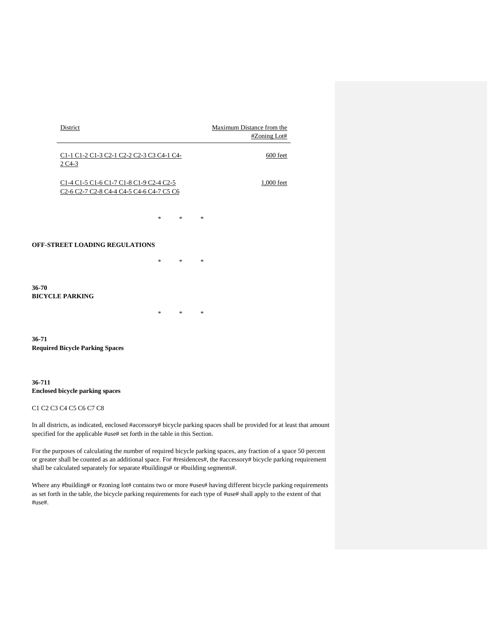|       | District                                                                                                                                                                                               |        |        |        | Maximum Distance from the | #Zoning Lot# |
|-------|--------------------------------------------------------------------------------------------------------------------------------------------------------------------------------------------------------|--------|--------|--------|---------------------------|--------------|
|       | C1-1 C1-2 C1-3 C2-1 C2-2 C2-3 C3 C4-1 C4-<br>$2C4-3$                                                                                                                                                   |        |        |        |                           | 600 feet     |
|       | C1-4 C1-5 C1-6 C1-7 C1-8 C1-9 C2-4 C2-5<br>C <sub>2</sub> -6 C <sub>2</sub> -7 C <sub>2</sub> -8 C <sub>4</sub> -4 C <sub>4</sub> -5 C <sub>4</sub> -6 C <sub>4</sub> -7 C <sub>5</sub> C <sub>6</sub> |        |        |        |                           | 1,000 feet   |
|       |                                                                                                                                                                                                        | *      | $\ast$ | $\ast$ |                           |              |
|       | <b>OFF-STREET LOADING REGULATIONS</b>                                                                                                                                                                  |        |        |        |                           |              |
|       |                                                                                                                                                                                                        | *      | $\ast$ | $\ast$ |                           |              |
| 36-70 | <b>BICYCLE PARKING</b>                                                                                                                                                                                 |        |        |        |                           |              |
|       |                                                                                                                                                                                                        | $\ast$ | $\ast$ | $\ast$ |                           |              |

**36-71 Required Bicycle Parking Spaces**

# **36-711 Enclosed bicycle parking spaces**

## C1 C2 C3 C4 C5 C6 C7 C8

In all districts, as indicated, enclosed #accessory# bicycle parking spaces shall be provided for at least that amount specified for the applicable #use# set forth in the table in this Section.

For the purposes of calculating the number of required bicycle parking spaces, any fraction of a space 50 percent or greater shall be counted as an additional space. For #residences#, the #accessory# bicycle parking requirement shall be calculated separately for separate #buildings# or #building segments#.

Where any #building# or #zoning lot# contains two or more #uses# having different bicycle parking requirements as set forth in the table, the bicycle parking requirements for each type of #use# shall apply to the extent of that #use#.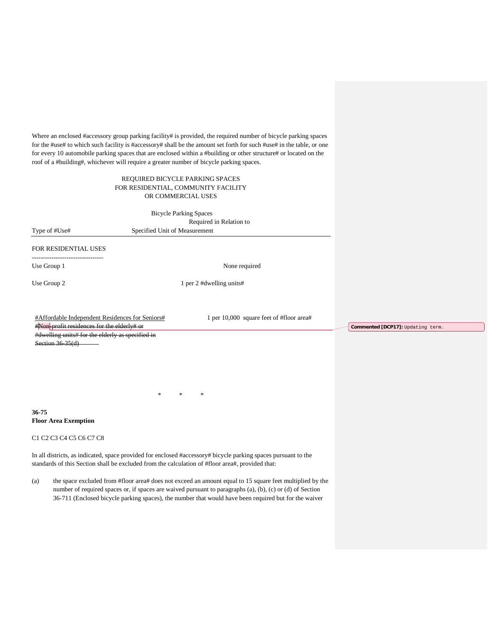Where an enclosed #accessory group parking facility# is provided, the required number of bicycle parking spaces for the #use# to which such facility is #accessory# shall be the amount set forth for such #use# in the table, or one for every 10 automobile parking spaces that are enclosed within a #building or other structure# or located on the roof of a #building#, whichever will require a greater number of bicycle parking spaces.

## REQUIRED BICYCLE PARKING SPACES FOR RESIDENTIAL, COMMUNITY FACILITY OR COMMERCIAL USES

|                      | <b>Bicycle Parking Spaces</b><br>Required in Relation to |
|----------------------|----------------------------------------------------------|
| Type of #Use#        | Specified Unit of Measurement                            |
| FOR RESIDENTIAL USES |                                                          |
| Use Group 1          | None required                                            |
| Use Group 2          | 1 per 2 #dwelling units#                                 |
|                      |                                                          |

#Affordable Independent Residences for Seniors# #Non profit residences for the elderly# or #dwelling units# for the elderly as specified in Section 36-35(d)

1 per 10,000 square feet of #floor area#

**Commented [DCP17]:** Updating term.

\* \* \*

**36-75 Floor Area Exemption**

C1 C2 C3 C4 C5 C6 C7 C8

In all districts, as indicated, space provided for enclosed #accessory# bicycle parking spaces pursuant to the standards of this Section shall be excluded from the calculation of #floor area#, provided that:

(a) the space excluded from #floor area# does not exceed an amount equal to 15 square feet multiplied by the number of required spaces or, if spaces are waived pursuant to paragraphs (a), (b), (c) or (d) of Section 36-711 (Enclosed bicycle parking spaces), the number that would have been required but for the waiver